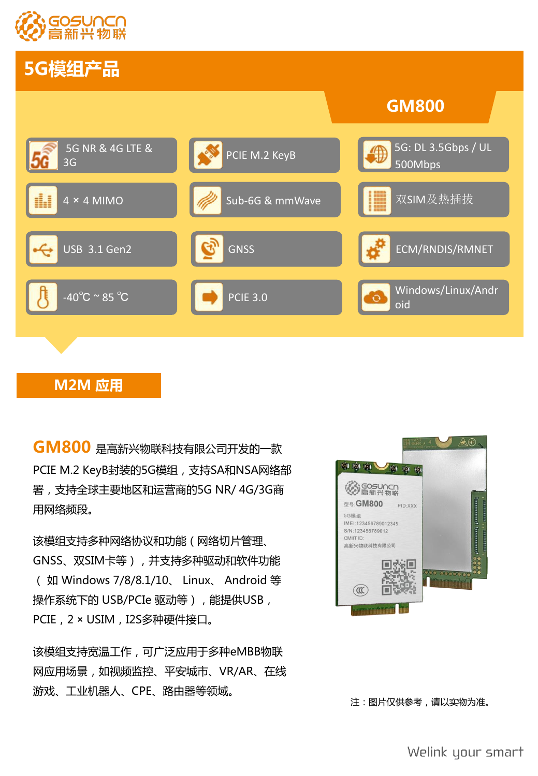

# **5G模组产品**



## **M2M 应用**

**GM800** 是高新兴物联科技有限公司开发的一款 **Example 20 回答 AD AD** PCIE M.2 KeyB封装的5G模组,支持SA和NSA网络部 署,支持全球主要地区和运营商的5G NR/ 4G/3G商 用网络频段。

该模组支持多种网络协议和功能(网络切片管理、 GNSS、双SIM卡等),并支持多种驱动和软件功能 ( 如 Windows 7/8/8.1/10、 Linux、 Android 等 操作系统下的 USB/PCIe 驱动等),能提供USB, PCIE, 2 × USIM, I2S多种硬件接口。

该模组支持宽温工作,可广泛应用于多种eMBB物联 网应用场景,如视频监控、平安城市、VR/AR、在线 游戏、工业机器人、CPE、路由器等领域。



注:图片仅供参考,请以实物为准。